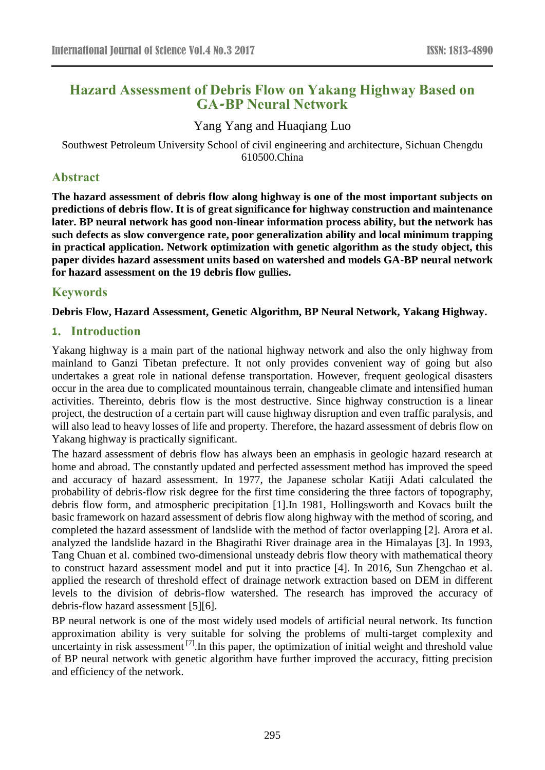# **Hazard Assessment of Debris Flow on Yakang Highway Based on GA-BP Neural Network**

Yang Yang and Huaqiang Luo

Southwest Petroleum University School of civil engineering and architecture, Sichuan Chengdu 610500.China

# **Abstract**

**The hazard assessment of debris flow along highway is one of the most important subjects on predictions of debris flow. It is of great significance for highway construction and maintenance later. BP neural network has good non-linear information process ability, but the network has such defects as slow convergence rate, poor generalization ability and local minimum trapping in practical application. Network optimization with genetic algorithm as the study object, this paper divides hazard assessment units based on watershed and models GA-BP neural network for hazard assessment on the 19 debris flow gullies.**

# **Keywords**

# **Debris Flow, Hazard Assessment, Genetic Algorithm, BP Neural Network, Yakang Highway.**

# **1. Introduction**

Yakang highway is a main part of the national highway network and also the only highway from mainland to Ganzi Tibetan prefecture. It not only provides convenient way of going but also undertakes a great role in national defense transportation. However, frequent geological disasters occur in the area due to complicated mountainous terrain, changeable climate and intensified human activities. Thereinto, debris flow is the most destructive. Since highway construction is a linear project, the destruction of a certain part will cause highway disruption and even traffic paralysis, and will also lead to heavy losses of life and property. Therefore, the hazard assessment of debris flow on Yakang highway is practically significant.

The hazard assessment of debris flow has always been an emphasis in geologic hazard research at home and abroad. The constantly updated and perfected assessment method has improved the speed and accuracy of hazard assessment. In 1977, the Japanese scholar Katiji Adati calculated the probability of debris-flow risk degree for the first time considering the three factors of topography, debris flow form, and atmospheric precipitation [1].In 1981, Hollingsworth and Kovacs built the basic framework on hazard assessment of debris flow along highway with the method of scoring, and completed the hazard assessment of landslide with the method of factor overlapping [2]. Arora et al. analyzed the landslide hazard in the Bhagirathi River drainage area in the Himalayas [3]. In 1993, Tang Chuan et al. combined two-dimensional unsteady debris flow theory with mathematical theory to construct hazard assessment model and put it into practice [4]. In 2016, Sun Zhengchao et al. applied the research of threshold effect of drainage network extraction based on DEM in different levels to the division of debris-flow watershed. The research has improved the accuracy of debris-flow hazard assessment [5][6].

BP neural network is one of the most widely used models of artificial neural network. Its function approximation ability is very suitable for solving the problems of multi-target complexity and uncertainty in risk assessment [7]. In this paper, the optimization of initial weight and threshold value of BP neural network with genetic algorithm have further improved the accuracy, fitting precision and efficiency of the network.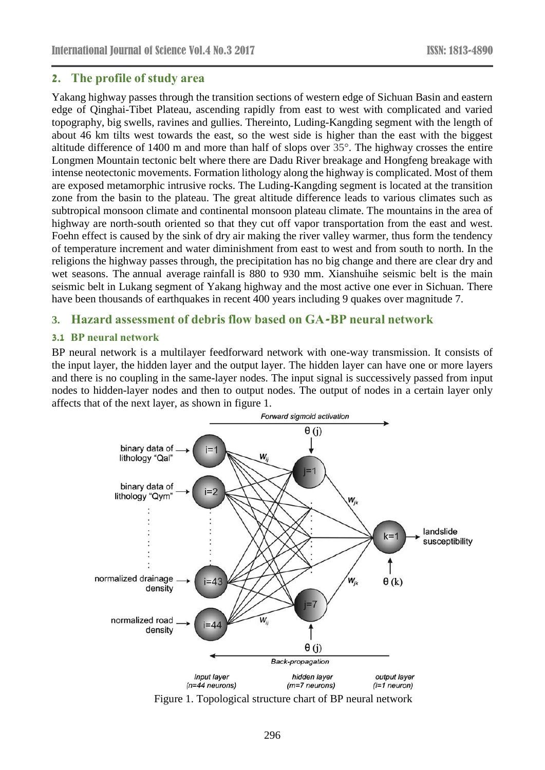# **2. The profile of study area**

Yakang highway passes through the transition sections of western edge of Sichuan Basin and eastern edge of Qinghai-Tibet Plateau, ascending rapidly from east to west with complicated and varied topography, big swells, ravines and gullies. Thereinto, Luding-Kangding segment with the length of about 46 km tilts west towards the east, so the west side is higher than the east with the biggest altitude difference of 1400 m and more than half of slops over 35°. The highway crosses the entire Longmen Mountain tectonic belt where there are Dadu River breakage and Hongfeng breakage with intense neotectonic movements. Formation lithology along the highway is complicated. Most of them are exposed metamorphic intrusive rocks. The Luding-Kangding segment is located at the transition zone from the basin to the plateau. The great altitude difference leads to various climates such as subtropical monsoon climate and continental monsoon plateau climate. The mountains in the area of highway are north-south oriented so that they cut off vapor transportation from the east and west. Foehn effect is caused by the sink of dry air making the river valley warmer, thus form the tendency of temperature increment and water diminishment from east to west and from south to north. In the religions the highway passes through, the precipitation has no big change and there are clear dry and wet seasons. The annual average rainfall is 880 to 930 mm. Xianshuihe seismic belt is the main seismic belt in Lukang segment of Yakang highway and the most active one ever in Sichuan. There have been thousands of earthquakes in recent 400 years including 9 quakes over magnitude 7.

# **3. Hazard assessment of debris flow based on GA-BP neural network**

### **3.1 BP neural network**

BP neural network is a multilayer feedforward network with one-way transmission. It consists of the input layer, the hidden layer and the output layer. The hidden layer can have one or more layers and there is no coupling in the same-layer nodes. The input signal is successively passed from input nodes to hidden-layer nodes and then to output nodes. The output of nodes in a certain layer only affects that of the next layer, as shown in figure 1.



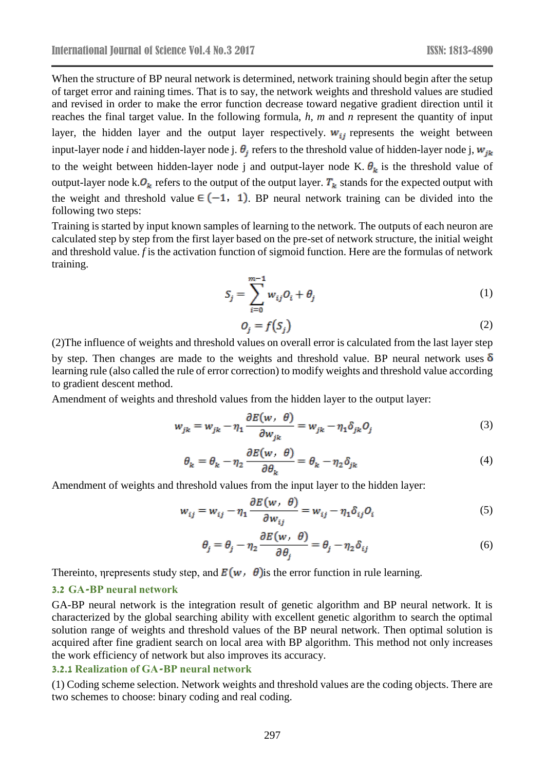When the structure of BP neural network is determined, network training should begin after the setup of target error and raining times. That is to say, the network weights and threshold values are studied and revised in order to make the error function decrease toward negative gradient direction until it reaches the final target value. In the following formula, *h, m* and *n* represent the quantity of input layer, the hidden layer and the output layer respectively.  $w_{ij}$  represents the weight between input-layer node *i* and hidden-layer node j.  $\theta_i$  refers to the threshold value of hidden-layer node j,  $w_{ik}$ to the weight between hidden-layer node j and output-layer node K.  $\theta_k$  is the threshold value of output-layer node k. $O_k$  refers to the output of the output layer.  $T_k$  stands for the expected output with the weight and threshold value  $\in (-1, 1)$ . BP neural network training can be divided into the following two steps:

Training is started by input known samples of learning to the network. The outputs of each neuron are calculated step by step from the first layer based on the pre-set of network structure, the initial weight and threshold value. *f* is the activation function of sigmoid function. Here are the formulas of network training.

$$
S_j = \sum_{i=0}^{m-1} w_{ij} O_i + \theta_j \tag{1}
$$

$$
O_i = f(S_i) \tag{2}
$$

(2)The influence of weights and threshold values on overall error is calculated from the last layer step by step. Then changes are made to the weights and threshold value. BP neural network uses  $\delta$ learning rule (also called the rule of error correction) to modify weights and threshold value according to gradient descent method.

Amendment of weights and threshold values from the hidden layer to the output layer:

$$
w_{jk} = w_{jk} - \eta_1 \frac{\partial E(w, \theta)}{\partial w_{jk}} = w_{jk} - \eta_1 \delta_{jk} O_j \tag{3}
$$

$$
\theta_k = \theta_k - \eta_2 \frac{\partial E(w, \theta)}{\partial \theta_k} = \theta_k - \eta_2 \delta_{jk}
$$
\n(4)

Amendment of weights and threshold values from the input layer to the hidden layer:

$$
w_{ij} = w_{ij} - \eta_1 \frac{\partial E(w, \theta)}{\partial w_{ij}} = w_{ij} - \eta_1 \delta_{ij} O_i
$$
 (5)

$$
\theta_j = \theta_j - \eta_2 \frac{\partial E(w, \theta)}{\partial \theta_j} = \theta_j - \eta_2 \delta_{ij}
$$
 (6)

Thereinto, nepresents study step, and  $E(w, \theta)$  is the error function in rule learning.

### **3.2 GA-BP neural network**

GA-BP neural network is the integration result of genetic algorithm and BP neural network. It is characterized by the global searching ability with excellent genetic algorithm to search the optimal solution range of weights and threshold values of the BP neural network. Then optimal solution is acquired after fine gradient search on local area with BP algorithm. This method not only increases the work efficiency of network but also improves its accuracy.

#### **3.2.1 Realization of GA-BP neural network**

(1) Coding scheme selection. Network weights and threshold values are the coding objects. There are two schemes to choose: binary coding and real coding.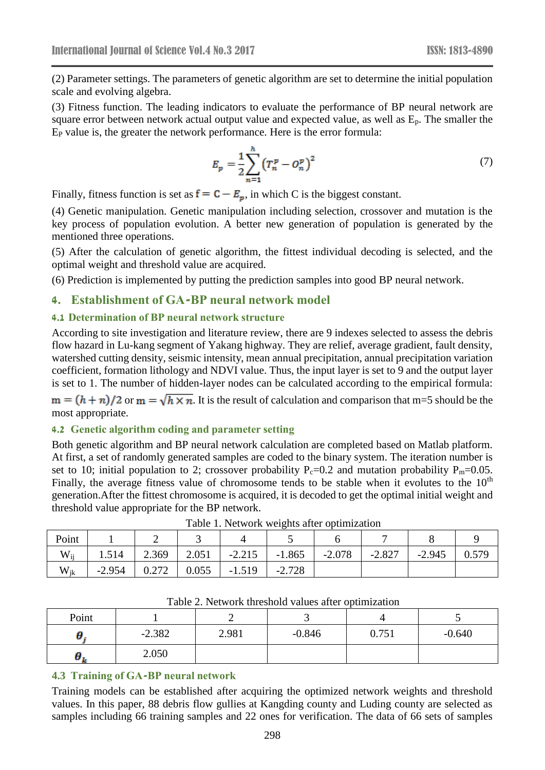(2) Parameter settings. The parameters of genetic algorithm are set to determine the initial population scale and evolving algebra.

(3) Fitness function. The leading indicators to evaluate the performance of BP neural network are square error between network actual output value and expected value, as well as  $E_p$ . The smaller the E<sup>P</sup> value is, the greater the network performance. Here is the error formula:

$$
E_p = \frac{1}{2} \sum_{n=1}^{n} \left( T_n^p - O_n^p \right)^2 \tag{7}
$$

Finally, fitness function is set as  $f = C - E_n$ , in which C is the biggest constant.

(4) Genetic manipulation. Genetic manipulation including selection, crossover and mutation is the key process of population evolution. A better new generation of population is generated by the mentioned three operations.

(5) After the calculation of genetic algorithm, the fittest individual decoding is selected, and the optimal weight and threshold value are acquired.

(6) Prediction is implemented by putting the prediction samples into good BP neural network.

### **4. Establishment of GA-BP neural network model**

### **4.1 Determination of BP neural network structure**

According to site investigation and literature review, there are 9 indexes selected to assess the debris flow hazard in Lu-kang segment of Yakang highway. They are relief, average gradient, fault density, watershed cutting density, seismic intensity, mean annual precipitation, annual precipitation variation coefficient, formation lithology and NDVI value. Thus, the input layer is set to 9 and the output layer is set to 1. The number of hidden-layer nodes can be calculated according to the empirical formula:

 $m = (h + n)/2$  or  $m = \sqrt{h \times n}$ . It is the result of calculation and comparison that m=5 should be the most appropriate.

### **4.2 Genetic algorithm coding and parameter setting**

Both genetic algorithm and BP neural network calculation are completed based on Matlab platform. At first, a set of randomly generated samples are coded to the binary system. The iteration number is set to 10; initial population to 2; crossover probability  $P_c=0.2$  and mutation probability  $P_m=0.05$ . Finally, the average fitness value of chromosome tends to be stable when it evolutes to the  $10<sup>th</sup>$ generation.After the fittest chromosome is acquired, it is decoded to get the optimal initial weight and threshold value appropriate for the BP network.

| Point    |          |       | ັ     |          |          |          |          |          |       |  |  |  |
|----------|----------|-------|-------|----------|----------|----------|----------|----------|-------|--|--|--|
| $W_{ii}$ | 1.514    | 2.369 | 2.051 | $-2.215$ | $-1.865$ | $-2.078$ | $-2.827$ | $-2.945$ | 0.579 |  |  |  |
| $W_{ik}$ | $-2.954$ | 0.272 | 0.055 | $-1.519$ | $-2.728$ |          |          |          |       |  |  |  |

Table 1. Network weights after optimization

| Point |          |       |          |       |          |
|-------|----------|-------|----------|-------|----------|
|       | $-2.382$ | 2.981 | $-0.846$ | 0.751 | $-0.640$ |
| σ.    | 2.050    |       |          |       |          |

Table 2. Network threshold values after optimization

### **4.3 Training of GA-BP neural network**

Training models can be established after acquiring the optimized network weights and threshold values. In this paper, 88 debris flow gullies at Kangding county and Luding county are selected as samples including 66 training samples and 22 ones for verification. The data of 66 sets of samples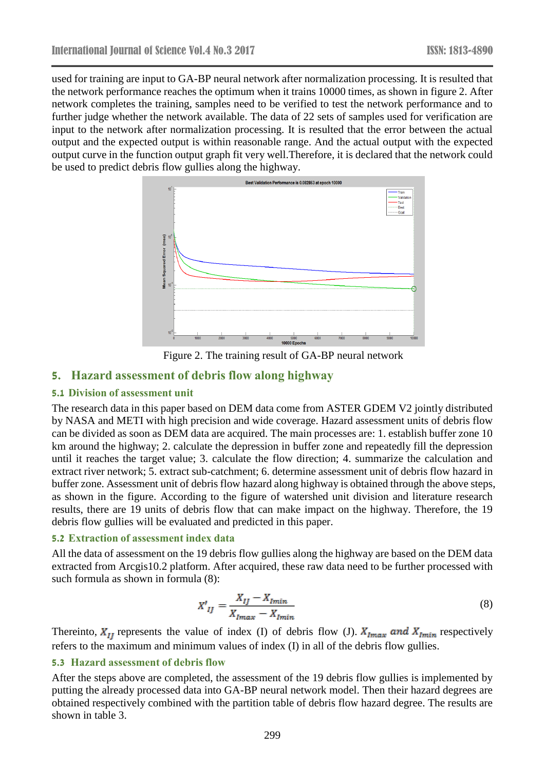used for training are input to GA-BP neural network after normalization processing. It is resulted that the network performance reaches the optimum when it trains 10000 times, as shown in figure 2. After network completes the training, samples need to be verified to test the network performance and to further judge whether the network available. The data of 22 sets of samples used for verification are input to the network after normalization processing. It is resulted that the error between the actual output and the expected output is within reasonable range. And the actual output with the expected output curve in the function output graph fit very well.Therefore, it is declared that the network could be used to predict debris flow gullies along the highway.



Figure 2. The training result of GA-BP neural network

# **5. Hazard assessment of debris flow along highway**

### **5.1 Division of assessment unit**

The research data in this paper based on DEM data come from ASTER GDEM V2 jointly distributed by NASA and METI with high precision and wide coverage. Hazard assessment units of debris flow can be divided as soon as DEM data are acquired. The main processes are: 1. establish buffer zone 10 km around the highway; 2. calculate the depression in buffer zone and repeatedly fill the depression until it reaches the target value; 3. calculate the flow direction; 4. summarize the calculation and extract river network; 5. extract sub-catchment; 6. determine assessment unit of debris flow hazard in buffer zone. Assessment unit of debris flow hazard along highway is obtained through the above steps, as shown in the figure. According to the figure of watershed unit division and literature research results, there are 19 units of debris flow that can make impact on the highway. Therefore, the 19 debris flow gullies will be evaluated and predicted in this paper.

### **5.2 Extraction of assessment index data**

All the data of assessment on the 19 debris flow gullies along the highway are based on the DEM data extracted from Arcgis10.2 platform. After acquired, these raw data need to be further processed with such formula as shown in formula (8):

$$
X'_{IJ} = \frac{X_{IJ} - X_{Imin}}{X_{Imax} - X_{Imin}}
$$
\n
$$
\tag{8}
$$

Thereinto,  $X_{IJ}$  represents the value of index (I) of debris flow (J).  $X_{Imax}$  and  $X_{Imin}$  respectively refers to the maximum and minimum values of index (I) in all of the debris flow gullies.

### **5.3 Hazard assessment of debris flow**

After the steps above are completed, the assessment of the 19 debris flow gullies is implemented by putting the already processed data into GA-BP neural network model. Then their hazard degrees are obtained respectively combined with the partition table of debris flow hazard degree. The results are shown in table 3.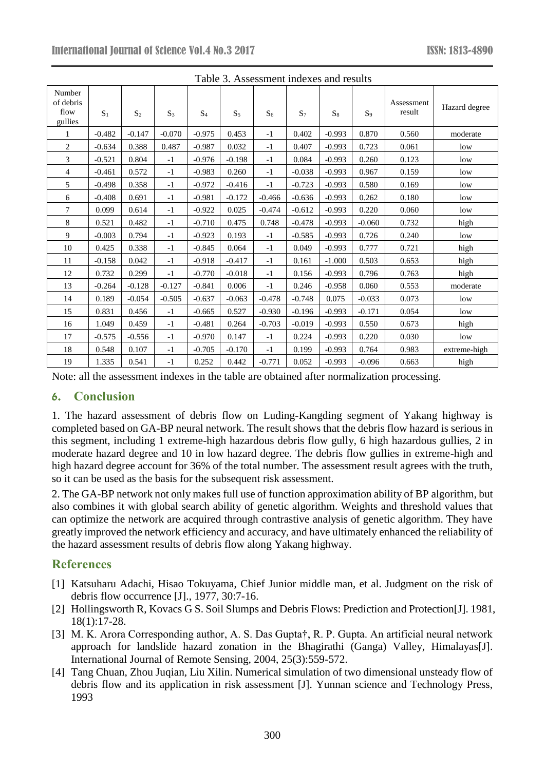| I able 5. Assessment indexes and results |                |                |          |                |                |          |          |          |                |                      |               |
|------------------------------------------|----------------|----------------|----------|----------------|----------------|----------|----------|----------|----------------|----------------------|---------------|
| Number<br>of debris<br>flow<br>gullies   | S <sub>1</sub> | S <sub>2</sub> | $S_3$    | S <sub>4</sub> | S <sub>5</sub> | $S_6$    | $S_7$    | $S_8$    | S <sub>9</sub> | Assessment<br>result | Hazard degree |
| 1                                        | $-0.482$       | $-0.147$       | $-0.070$ | $-0.975$       | 0.453          | $-1$     | 0.402    | $-0.993$ | 0.870          | 0.560                | moderate      |
| 2                                        | $-0.634$       | 0.388          | 0.487    | $-0.987$       | 0.032          | $-1$     | 0.407    | $-0.993$ | 0.723          | 0.061                | low           |
| 3                                        | $-0.521$       | 0.804          | $-1$     | $-0.976$       | $-0.198$       | $-1$     | 0.084    | $-0.993$ | 0.260          | 0.123                | low           |
| 4                                        | $-0.461$       | 0.572          | $-1$     | $-0.983$       | 0.260          | $-1$     | $-0.038$ | $-0.993$ | 0.967          | 0.159                | low           |
| 5                                        | $-0.498$       | 0.358          | $-1$     | $-0.972$       | $-0.416$       | $-1$     | $-0.723$ | $-0.993$ | 0.580          | 0.169                | low           |
| 6                                        | $-0.408$       | 0.691          | $-1$     | $-0.981$       | $-0.172$       | $-0.466$ | $-0.636$ | $-0.993$ | 0.262          | 0.180                | low           |
| 7                                        | 0.099          | 0.614          | $-1$     | $-0.922$       | 0.025          | $-0.474$ | $-0.612$ | $-0.993$ | 0.220          | 0.060                | low           |
| 8                                        | 0.521          | 0.482          | $-1$     | $-0.710$       | 0.475          | 0.748    | $-0.478$ | $-0.993$ | $-0.060$       | 0.732                | high          |
| 9                                        | $-0.003$       | 0.794          | $-1$     | $-0.923$       | 0.193          | $-1$     | $-0.585$ | $-0.993$ | 0.726          | 0.240                | low           |
| 10                                       | 0.425          | 0.338          | $-1$     | $-0.845$       | 0.064          | $-1$     | 0.049    | $-0.993$ | 0.777          | 0.721                | high          |
| 11                                       | $-0.158$       | 0.042          | $-1$     | $-0.918$       | $-0.417$       | $-1$     | 0.161    | $-1.000$ | 0.503          | 0.653                | high          |
| 12                                       | 0.732          | 0.299          | $-1$     | $-0.770$       | $-0.018$       | $-1$     | 0.156    | $-0.993$ | 0.796          | 0.763                | high          |
| 13                                       | $-0.264$       | $-0.128$       | $-0.127$ | $-0.841$       | 0.006          | $-1$     | 0.246    | $-0.958$ | 0.060          | 0.553                | moderate      |
| 14                                       | 0.189          | $-0.054$       | $-0.505$ | $-0.637$       | $-0.063$       | $-0.478$ | $-0.748$ | 0.075    | $-0.033$       | 0.073                | low           |
| 15                                       | 0.831          | 0.456          | $-1$     | $-0.665$       | 0.527          | $-0.930$ | $-0.196$ | $-0.993$ | $-0.171$       | 0.054                | low           |
| 16                                       | 1.049          | 0.459          | $-1$     | $-0.481$       | 0.264          | $-0.703$ | $-0.019$ | $-0.993$ | 0.550          | 0.673                | high          |
| 17                                       | $-0.575$       | $-0.556$       | $-1$     | $-0.970$       | 0.147          | $-1$     | 0.224    | $-0.993$ | 0.220          | 0.030                | low           |
| 18                                       | 0.548          | 0.107          | $-1$     | $-0.705$       | $-0.170$       | $-1$     | 0.199    | $-0.993$ | 0.764          | 0.983                | extreme-high  |
| 19                                       | 1.335          | 0.541          | $-1$     | 0.252          | 0.442          | $-0.771$ | 0.052    | $-0.993$ | $-0.096$       | 0.663                | high          |

Table 3. Assessment indexes and results

Note: all the assessment indexes in the table are obtained after normalization processing.

# **6. Conclusion**

1. The hazard assessment of debris flow on Luding-Kangding segment of Yakang highway is completed based on GA-BP neural network. The result shows that the debris flow hazard is serious in this segment, including 1 extreme-high hazardous debris flow gully, 6 high hazardous gullies, 2 in moderate hazard degree and 10 in low hazard degree. The debris flow gullies in extreme-high and high hazard degree account for 36% of the total number. The assessment result agrees with the truth, so it can be used as the basis for the subsequent risk assessment.

2. The GA-BP network not only makes full use of function approximation ability of BP algorithm, but also combines it with global search ability of genetic algorithm. Weights and threshold values that can optimize the network are acquired through contrastive analysis of genetic algorithm. They have greatly improved the network efficiency and accuracy, and have ultimately enhanced the reliability of the hazard assessment results of debris flow along Yakang highway.

# **References**

- [1] Katsuharu Adachi, Hisao Tokuyama, Chief Junior middle man, et al. Judgment on the risk of debris flow occurrence [J]., 1977, 30:7-16.
- [2] Hollingsworth R, Kovacs G S. Soil Slumps and Debris Flows: Prediction and Protection[J]. 1981, 18(1):17-28.
- [3] M. K. Arora Corresponding author, A. S. Das Gupta†, R. P. Gupta. An artificial neural network approach for landslide hazard zonation in the Bhagirathi (Ganga) Valley, Himalayas[J]. International Journal of Remote Sensing, 2004, 25(3):559-572.
- [4] Tang Chuan, Zhou Juqian, Liu Xilin. Numerical simulation of two dimensional unsteady flow of debris flow and its application in risk assessment [J]. Yunnan science and Technology Press, 1993